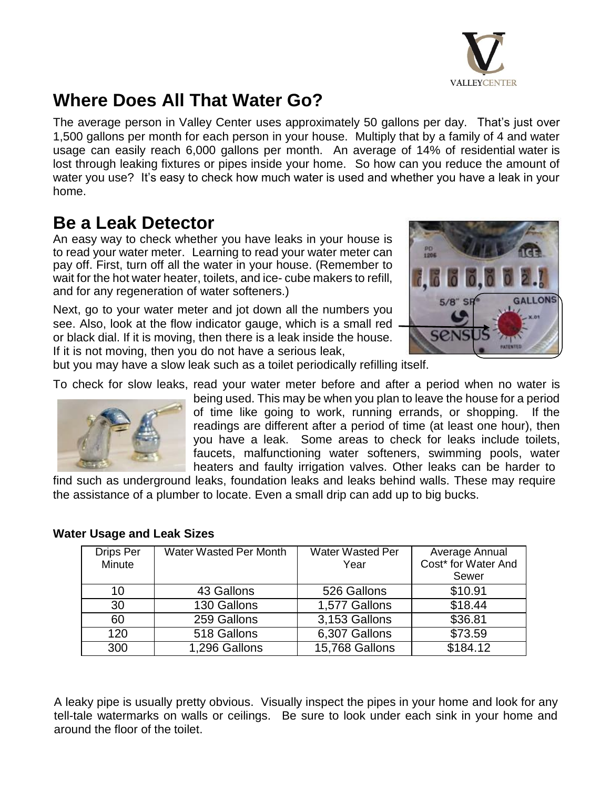

# **Where Does All That Water Go?**

The average person in Valley Center uses approximately 50 gallons per day. That's just over 1,500 gallons per month for each person in your house. Multiply that by a family of 4 and water usage can easily reach 6,000 gallons per month. An average of 14% of residential water is lost through leaking fixtures or pipes inside your home. So how can you reduce the amount of water you use? It's easy to check how much water is used and whether you have a leak in your home.

## **Be a Leak Detector**

An easy way to check whether you have leaks in your house is to read your water meter. Learning to read your water meter can pay off. First, turn off all the water in your house. (Remember to wait for the hot water heater, toilets, and ice- cube makers to refill, and for any regeneration of water softeners.)

Next, go to your water meter and jot down all the numbers you see. Also, look at the flow indicator gauge, which is a small red or black dial. If it is moving, then there is a leak inside the house. If it is not moving, then you do not have a serious leak,



but you may have a slow leak such as a toilet periodically refilling itself.

To check for slow leaks, read your water meter before and after a period when no water is



being used. This may be when you plan to leave the house for a period of time like going to work, running errands, or shopping. If the readings are different after a period of time (at least one hour), then you have a leak. Some areas to check for leaks include toilets, faucets, malfunctioning water softeners, swimming pools, water heaters and faulty irrigation valves. Other leaks can be harder to

find such as underground leaks, foundation leaks and leaks behind walls. These may require the assistance of a plumber to locate. Even a small drip can add up to big bucks.

| Drips Per<br>Minute | <b>Water Wasted Per Month</b> | <b>Water Wasted Per</b><br>Year | Average Annual<br>Cost* for Water And<br>Sewer |
|---------------------|-------------------------------|---------------------------------|------------------------------------------------|
| 10                  | 43 Gallons                    | 526 Gallons                     | \$10.91                                        |
| 30                  | 130 Gallons                   | 1,577 Gallons                   | \$18.44                                        |
| 60                  | 259 Gallons                   | 3,153 Gallons                   | \$36.81                                        |
| 120                 | 518 Gallons                   | 6,307 Gallons                   | \$73.59                                        |
| 300                 | 1,296 Gallons                 | 15,768 Gallons                  | \$184.12                                       |

#### **Water Usage and Leak Sizes**

A leaky pipe is usually pretty obvious. Visually inspect the pipes in your home and look for any tell-tale watermarks on walls or ceilings. Be sure to look under each sink in your home and around the floor of the toilet.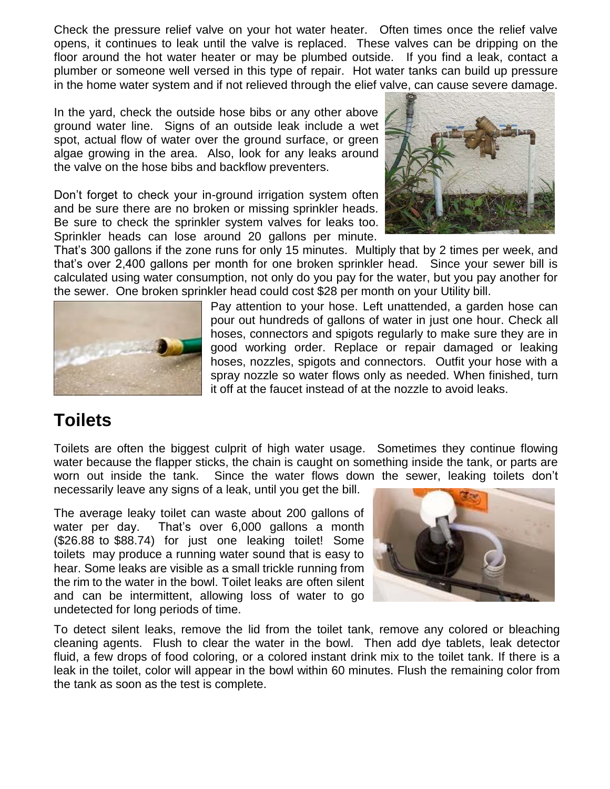Check the pressure relief valve on your hot water heater. Often times once the relief valve opens, it continues to leak until the valve is replaced. These valves can be dripping on the floor around the hot water heater or may be plumbed outside. If you find a leak, contact a plumber or someone well versed in this type of repair. Hot water tanks can build up pressure in the home water system and if not relieved through the elief valve, can cause severe damage.

In the yard, check the outside hose bibs or any other above ground water line. Signs of an outside leak include a wet spot, actual flow of water over the ground surface, or green algae growing in the area. Also, look for any leaks around the valve on the hose bibs and backflow preventers.

Don't forget to check your in-ground irrigation system often and be sure there are no broken or missing sprinkler heads. Be sure to check the sprinkler system valves for leaks too. Sprinkler heads can lose around 20 gallons per minute.



That's 300 gallons if the zone runs for only 15 minutes. Multiply that by 2 times per week, and that's over 2,400 gallons per month for one broken sprinkler head. Since your sewer bill is calculated using water consumption, not only do you pay for the water, but you pay another for the sewer. One broken sprinkler head could cost \$28 per month on your Utility bill.



Pay attention to your hose. Left unattended, a garden hose can pour out hundreds of gallons of water in just one hour. Check all hoses, connectors and spigots regularly to make sure they are in good working order. Replace or repair damaged or leaking hoses, nozzles, spigots and connectors. Outfit your hose with a spray nozzle so water flows only as needed. When finished, turn it off at the faucet instead of at the nozzle to avoid leaks.

### **Toilets**

Toilets are often the biggest culprit of high water usage. Sometimes they continue flowing water because the flapper sticks, the chain is caught on something inside the tank, or parts are worn out inside the tank. Since the water flows down the sewer, leaking toilets don't necessarily leave any signs of a leak, until you get the bill.

The average leaky toilet can waste about 200 gallons of water per day. That's over 6,000 gallons a month (\$26.88 to \$88.74) for just one leaking toilet! Some toilets may produce a running water sound that is easy to hear. Some leaks are visible as a small trickle running from the rim to the water in the bowl. Toilet leaks are often silent and can be intermittent, allowing loss of water to go undetected for long periods of time.



To detect silent leaks, remove the lid from the toilet tank, remove any colored or bleaching cleaning agents. Flush to clear the water in the bowl. Then add dye tablets, leak detector fluid, a few drops of food coloring, or a colored instant drink mix to the toilet tank. If there is a leak in the toilet, color will appear in the bowl within 60 minutes. Flush the remaining color from the tank as soon as the test is complete.